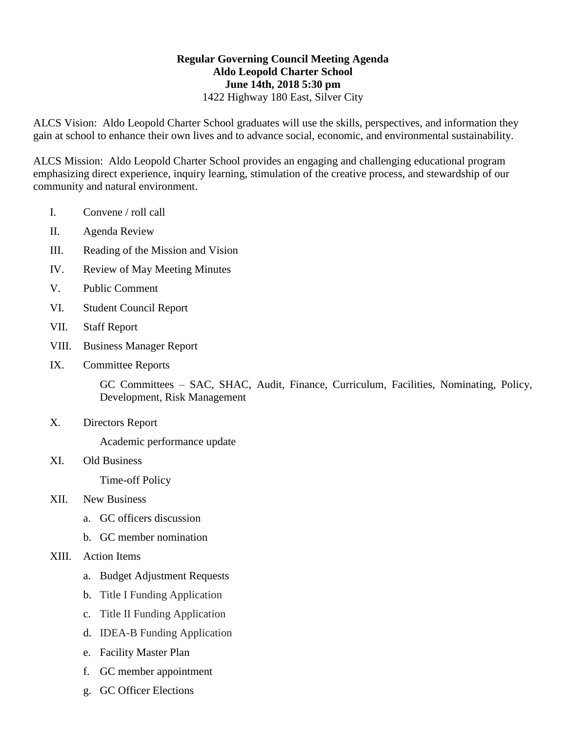## **Regular Governing Council Meeting Agenda Aldo Leopold Charter School June 14th, 2018 5:30 pm** 1422 Highway 180 East, Silver City

ALCS Vision: Aldo Leopold Charter School graduates will use the skills, perspectives, and information they gain at school to enhance their own lives and to advance social, economic, and environmental sustainability.

ALCS Mission: Aldo Leopold Charter School provides an engaging and challenging educational program emphasizing direct experience, inquiry learning, stimulation of the creative process, and stewardship of our community and natural environment.

- I. Convene / roll call
- II. Agenda Review
- III. Reading of the Mission and Vision
- IV. Review of May Meeting Minutes
- V. Public Comment
- VI. Student Council Report
- VII. Staff Report
- VIII. Business Manager Report
- IX. Committee Reports

GC Committees – SAC, SHAC, Audit, Finance, Curriculum, Facilities, Nominating, Policy, Development, Risk Management

X. Directors Report

Academic performance update

XI. Old Business

Time-off Policy

- XII. New Business
	- a. GC officers discussion
	- b. GC member nomination
- XIII. Action Items
	- a. Budget Adjustment Requests
	- b. Title I Funding Application
	- c. Title II Funding Application
	- d. IDEA-B Funding Application
	- e. Facility Master Plan
	- f. GC member appointment
	- g. GC Officer Elections